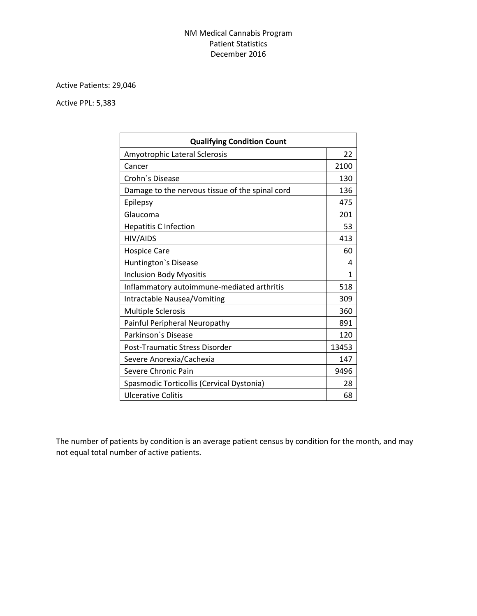## NM Medical Cannabis Program Patient Statistics December 2016

## Active Patients: 29,046

## Active PPL: 5,383

| <b>Qualifying Condition Count</b>               |       |  |
|-------------------------------------------------|-------|--|
| Amyotrophic Lateral Sclerosis                   | 22    |  |
| Cancer                                          | 2100  |  |
| Crohn's Disease                                 | 130   |  |
| Damage to the nervous tissue of the spinal cord | 136   |  |
| Epilepsy                                        | 475   |  |
| Glaucoma                                        | 201   |  |
| <b>Hepatitis C Infection</b>                    | 53    |  |
| HIV/AIDS                                        | 413   |  |
| <b>Hospice Care</b>                             | 60    |  |
| Huntington's Disease                            | 4     |  |
| <b>Inclusion Body Myositis</b>                  | 1     |  |
| Inflammatory autoimmune-mediated arthritis      | 518   |  |
| Intractable Nausea/Vomiting                     | 309   |  |
| <b>Multiple Sclerosis</b>                       | 360   |  |
| Painful Peripheral Neuropathy                   | 891   |  |
| Parkinson's Disease                             | 120   |  |
| Post-Traumatic Stress Disorder                  | 13453 |  |
| Severe Anorexia/Cachexia                        | 147   |  |
| Severe Chronic Pain                             | 9496  |  |
| Spasmodic Torticollis (Cervical Dystonia)       | 28    |  |
| <b>Ulcerative Colitis</b>                       | 68    |  |

The number of patients by condition is an average patient census by condition for the month, and may not equal total number of active patients.